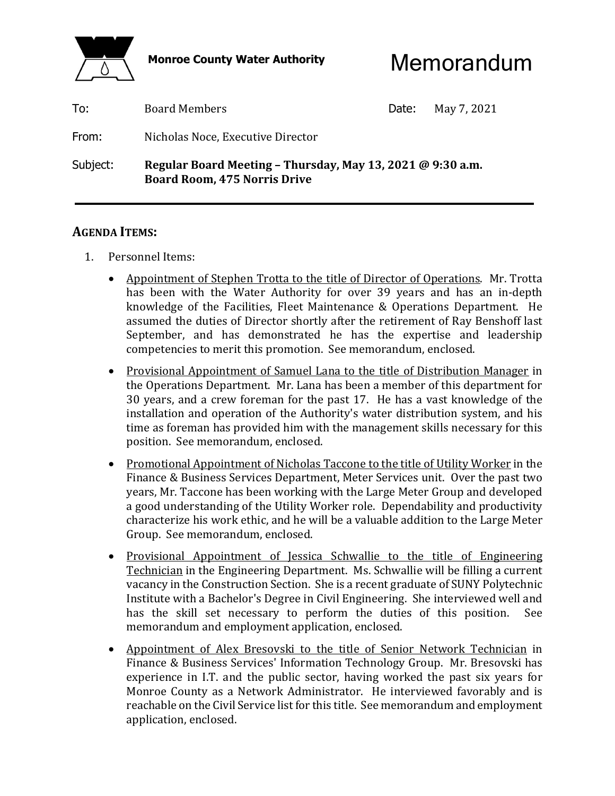

Monroe County Water Authority **Memorandum** 

| To:      | <b>Board Members</b>                                                                              | Date: | May 7, 2021 |
|----------|---------------------------------------------------------------------------------------------------|-------|-------------|
| From:    | Nicholas Noce, Executive Director                                                                 |       |             |
| Subject: | Regular Board Meeting - Thursday, May 13, 2021 @ 9:30 a.m.<br><b>Board Room, 475 Norris Drive</b> |       |             |

#### **AGENDA ITEMS:**

- 1. Personnel Items:
	- Appointment of Stephen Trotta to the title of Director of Operations. Mr. Trotta has been with the Water Authority for over 39 years and has an in-depth knowledge of the Facilities, Fleet Maintenance & Operations Department. He assumed the duties of Director shortly after the retirement of Ray Benshoff last September, and has demonstrated he has the expertise and leadership competencies to merit this promotion. See memorandum, enclosed.
	- Provisional Appointment of Samuel Lana to the title of Distribution Manager in the Operations Department. Mr. Lana has been a member of this department for 30 years, and a crew foreman for the past 17. He has a vast knowledge of the installation and operation of the Authority's water distribution system, and his time as foreman has provided him with the management skills necessary for this position. See memorandum, enclosed.
	- Promotional Appointment of Nicholas Taccone to the title of Utility Worker in the Finance & Business Services Department, Meter Services unit. Over the past two years, Mr. Taccone has been working with the Large Meter Group and developed a good understanding of the Utility Worker role. Dependability and productivity characterize his work ethic, and he will be a valuable addition to the Large Meter Group. See memorandum, enclosed.
	- Provisional Appointment of Jessica Schwallie to the title of Engineering Technician in the Engineering Department. Ms. Schwallie will be filling a current vacancy in the Construction Section. She is a recent graduate of SUNY Polytechnic Institute with a Bachelor's Degree in Civil Engineering. She interviewed well and has the skill set necessary to perform the duties of this position. See memorandum and employment application, enclosed.
	- Appointment of Alex Bresovski to the title of Senior Network Technician in Finance & Business Services' Information Technology Group. Mr. Bresovski has experience in I.T. and the public sector, having worked the past six years for Monroe County as a Network Administrator. He interviewed favorably and is reachable on the Civil Service list for this title. See memorandum and employment application, enclosed.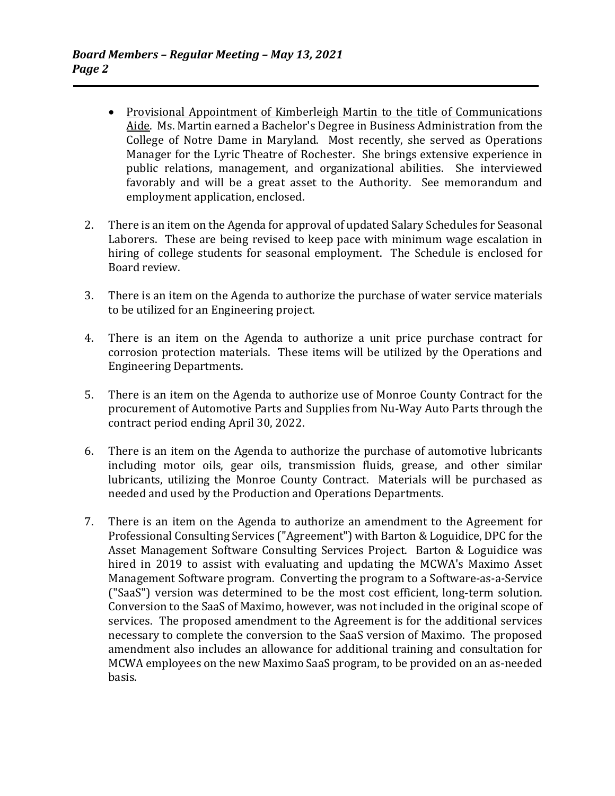- Provisional Appointment of Kimberleigh Martin to the title of Communications Aide. Ms. Martin earned a Bachelor's Degree in Business Administration from the College of Notre Dame in Maryland. Most recently, she served as Operations Manager for the Lyric Theatre of Rochester. She brings extensive experience in public relations, management, and organizational abilities. She interviewed favorably and will be a great asset to the Authority. See memorandum and employment application, enclosed.
- 2. There is an item on the Agenda for approval of updated Salary Schedules for Seasonal Laborers. These are being revised to keep pace with minimum wage escalation in hiring of college students for seasonal employment. The Schedule is enclosed for Board review.
- 3. There is an item on the Agenda to authorize the purchase of water service materials to be utilized for an Engineering project.
- 4. There is an item on the Agenda to authorize a unit price purchase contract for corrosion protection materials. These items will be utilized by the Operations and Engineering Departments.
- 5. There is an item on the Agenda to authorize use of Monroe County Contract for the procurement of Automotive Parts and Supplies from Nu-Way Auto Parts through the contract period ending April 30, 2022.
- 6. There is an item on the Agenda to authorize the purchase of automotive lubricants including motor oils, gear oils, transmission fluids, grease, and other similar lubricants, utilizing the Monroe County Contract. Materials will be purchased as needed and used by the Production and Operations Departments.
- 7. There is an item on the Agenda to authorize an amendment to the Agreement for Professional Consulting Services ("Agreement") with Barton & Loguidice, DPC for the Asset Management Software Consulting Services Project. Barton & Loguidice was hired in 2019 to assist with evaluating and updating the MCWA's Maximo Asset Management Software program. Converting the program to a Software-as-a-Service ("SaaS") version was determined to be the most cost efficient, long-term solution. Conversion to the SaaS of Maximo, however, was not included in the original scope of services. The proposed amendment to the Agreement is for the additional services necessary to complete the conversion to the SaaS version of Maximo. The proposed amendment also includes an allowance for additional training and consultation for MCWA employees on the new Maximo SaaS program, to be provided on an as-needed basis.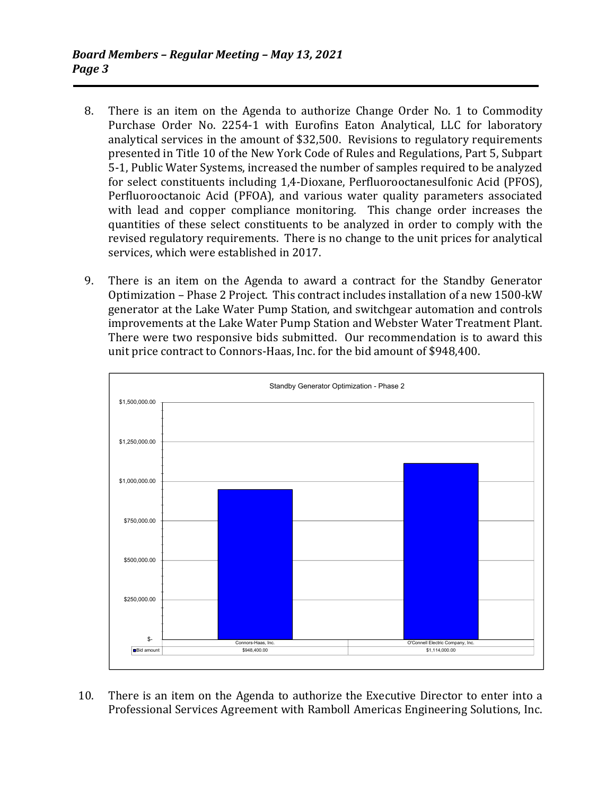- 8. There is an item on the Agenda to authorize Change Order No. 1 to Commodity Purchase Order No. 2254-1 with Eurofins Eaton Analytical, LLC for laboratory analytical services in the amount of \$32,500. Revisions to regulatory requirements presented in Title 10 of the New York Code of Rules and Regulations, Part 5, Subpart 5-1, Public Water Systems, increased the number of samples required to be analyzed for select constituents including 1,4-Dioxane, Perfluorooctanesulfonic Acid (PFOS), Perfluorooctanoic Acid (PFOA), and various water quality parameters associated with lead and copper compliance monitoring. This change order increases the quantities of these select constituents to be analyzed in order to comply with the revised regulatory requirements. There is no change to the unit prices for analytical services, which were established in 2017.
- 9. There is an item on the Agenda to award a contract for the Standby Generator Optimization – Phase 2 Project. This contract includes installation of a new 1500-kW generator at the Lake Water Pump Station, and switchgear automation and controls improvements at the Lake Water Pump Station and Webster Water Treatment Plant. There were two responsive bids submitted. Our recommendation is to award this unit price contract to Connors-Haas, Inc. for the bid amount of \$948,400.



 10. There is an item on the Agenda to authorize the Executive Director to enter into a Professional Services Agreement with Ramboll Americas Engineering Solutions, Inc.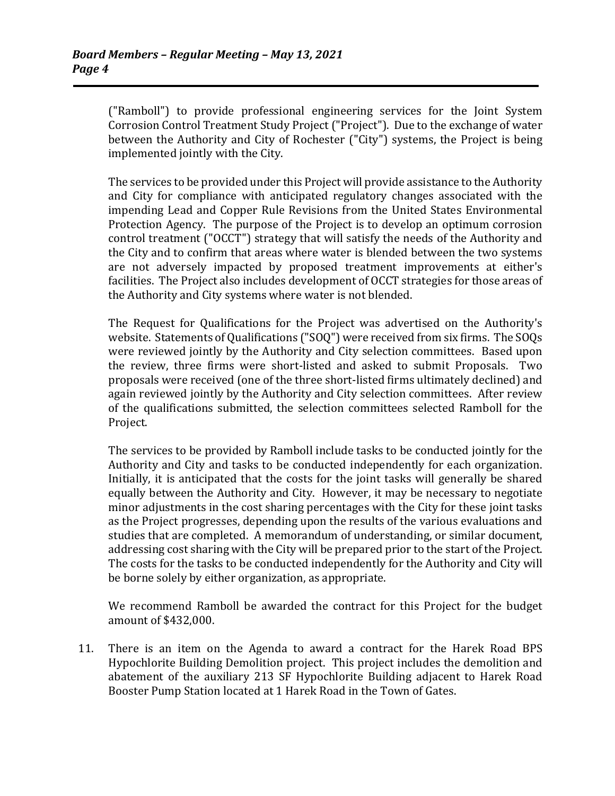("Ramboll") to provide professional engineering services for the Joint System Corrosion Control Treatment Study Project ("Project"). Due to the exchange of water between the Authority and City of Rochester ("City") systems, the Project is being implemented jointly with the City.

 The services to be provided under this Project will provide assistance to the Authority and City for compliance with anticipated regulatory changes associated with the impending Lead and Copper Rule Revisions from the United States Environmental Protection Agency. The purpose of the Project is to develop an optimum corrosion control treatment ("OCCT") strategy that will satisfy the needs of the Authority and the City and to confirm that areas where water is blended between the two systems are not adversely impacted by proposed treatment improvements at either's facilities. The Project also includes development of OCCT strategies for those areas of the Authority and City systems where water is not blended.

 The Request for Qualifications for the Project was advertised on the Authority's website. Statements of Qualifications ("SOQ") were received from six firms. The SOQs were reviewed jointly by the Authority and City selection committees. Based upon the review, three firms were short-listed and asked to submit Proposals. Two proposals were received (one of the three short-listed firms ultimately declined) and again reviewed jointly by the Authority and City selection committees. After review of the qualifications submitted, the selection committees selected Ramboll for the Project.

 The services to be provided by Ramboll include tasks to be conducted jointly for the Authority and City and tasks to be conducted independently for each organization. Initially, it is anticipated that the costs for the joint tasks will generally be shared equally between the Authority and City. However, it may be necessary to negotiate minor adjustments in the cost sharing percentages with the City for these joint tasks as the Project progresses, depending upon the results of the various evaluations and studies that are completed. A memorandum of understanding, or similar document, addressing cost sharing with the City will be prepared prior to the start of the Project. The costs for the tasks to be conducted independently for the Authority and City will be borne solely by either organization, as appropriate.

 We recommend Ramboll be awarded the contract for this Project for the budget amount of \$432,000.

 11. There is an item on the Agenda to award a contract for the Harek Road BPS Hypochlorite Building Demolition project. This project includes the demolition and abatement of the auxiliary 213 SF Hypochlorite Building adjacent to Harek Road Booster Pump Station located at 1 Harek Road in the Town of Gates.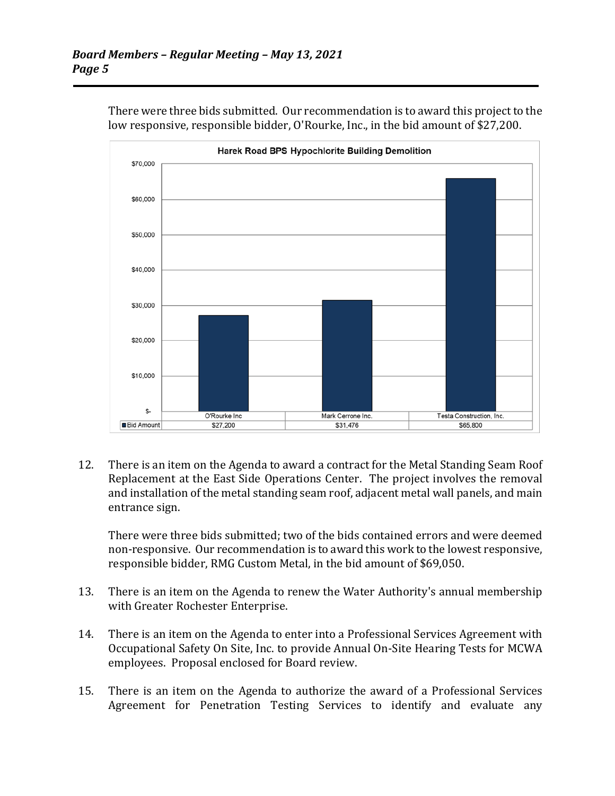

 There were three bids submitted. Our recommendation is to award this project to the low responsive, responsible bidder, O'Rourke, Inc., in the bid amount of \$27,200.

 12. There is an item on the Agenda to award a contract for the Metal Standing Seam Roof Replacement at the East Side Operations Center. The project involves the removal and installation of the metal standing seam roof, adjacent metal wall panels, and main entrance sign.

 There were three bids submitted; two of the bids contained errors and were deemed non-responsive. Our recommendation is to award this work to the lowest responsive, responsible bidder, RMG Custom Metal, in the bid amount of \$69,050.

- 13. There is an item on the Agenda to renew the Water Authority's annual membership with Greater Rochester Enterprise.
- 14. There is an item on the Agenda to enter into a Professional Services Agreement with Occupational Safety On Site, Inc. to provide Annual On-Site Hearing Tests for MCWA employees. Proposal enclosed for Board review.
- 15. There is an item on the Agenda to authorize the award of a Professional Services Agreement for Penetration Testing Services to identify and evaluate any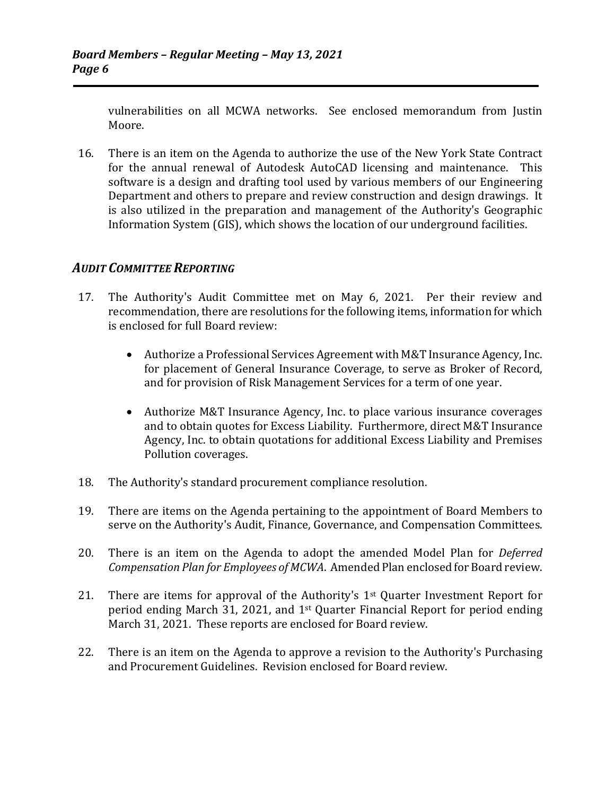vulnerabilities on all MCWA networks. See enclosed memorandum from Justin Moore.

 16. There is an item on the Agenda to authorize the use of the New York State Contract for the annual renewal of Autodesk AutoCAD licensing and maintenance. This software is a design and drafting tool used by various members of our Engineering Department and others to prepare and review construction and design drawings. It is also utilized in the preparation and management of the Authority's Geographic Information System (GIS), which shows the location of our underground facilities.

## *AUDIT COMMITTEE REPORTING*

- 17. The Authority's Audit Committee met on May 6, 2021. Per their review and recommendation, there are resolutions for the following items, information for which is enclosed for full Board review:
	- Authorize a Professional Services Agreement with M&T Insurance Agency, Inc. for placement of General Insurance Coverage, to serve as Broker of Record, and for provision of Risk Management Services for a term of one year.
	- Authorize M&T Insurance Agency, Inc. to place various insurance coverages and to obtain quotes for Excess Liability. Furthermore, direct M&T Insurance Agency, Inc. to obtain quotations for additional Excess Liability and Premises Pollution coverages.
- 18. The Authority's standard procurement compliance resolution.
- 19. There are items on the Agenda pertaining to the appointment of Board Members to serve on the Authority's Audit, Finance, Governance, and Compensation Committees.
- 20. There is an item on the Agenda to adopt the amended Model Plan for *Deferred Compensation Plan for Employees of MCWA*. Amended Plan enclosed for Board review.
- 21. There are items for approval of the Authority's  $1<sup>st</sup>$  Quarter Investment Report for period ending March 31, 2021, and 1st Quarter Financial Report for period ending March 31, 2021. These reports are enclosed for Board review.
- 22. There is an item on the Agenda to approve a revision to the Authority's Purchasing and Procurement Guidelines. Revision enclosed for Board review.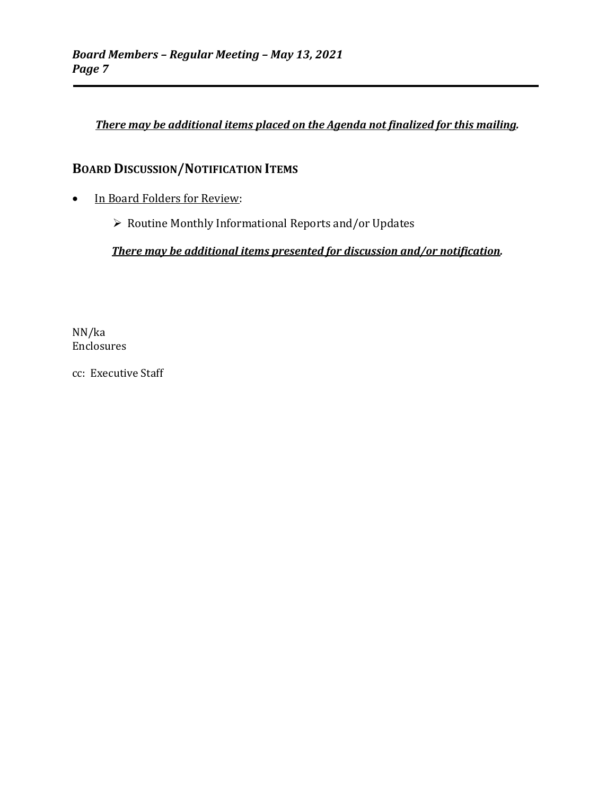### *There may be additional items placed on the Agenda not finalized for this mailing.*

## **BOARD DISCUSSION/NOTIFICATION ITEMS**

- In Board Folders for Review:
	- Routine Monthly Informational Reports and/or Updates

*There may be additional items presented for discussion and/or notification.*

NN/ka Enclosures

cc: Executive Staff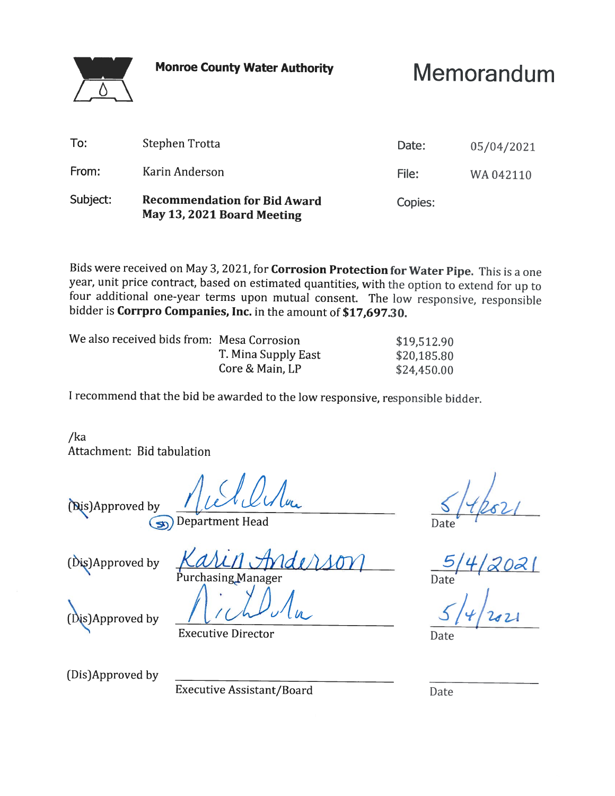**Monroe County Water Authority** 



Memorandum

| To:      | Stephen Trotta                                                    | Date:   | 05/04/2021 |
|----------|-------------------------------------------------------------------|---------|------------|
| From:    | Karin Anderson                                                    | File:   | WA042110   |
| Subject: | <b>Recommendation for Bid Award</b><br>May 13, 2021 Board Meeting | Copies: |            |

Bids were received on May 3, 2021, for Corrosion Protection for Water Pipe. This is a one year, unit price contract, based on estimated quantities, with the option to extend for up to four additional one-year terms upon mutual consent. The low responsive, responsible bidder is Corrpro Companies, Inc. in the amount of \$17,697.30.

| We also received bids from: Mesa Corrosion |                     | \$19,512.90 |
|--------------------------------------------|---------------------|-------------|
|                                            | T. Mina Supply East | \$20,185.80 |
|                                            | Core & Main, LP     | \$24,450.00 |

I recommend that the bid be awarded to the low responsive, responsible bidder.

 $/ka$ Attachment: Bid tabulation

(Dis)Approved by

**Department Head**  $\left($ sn

(Dis)Approved by

Purchasing Manager

Date

(Dis)Approved by

**Executive Director** 

(Dis)Approved by

**Executive Assistant/Board** 

Date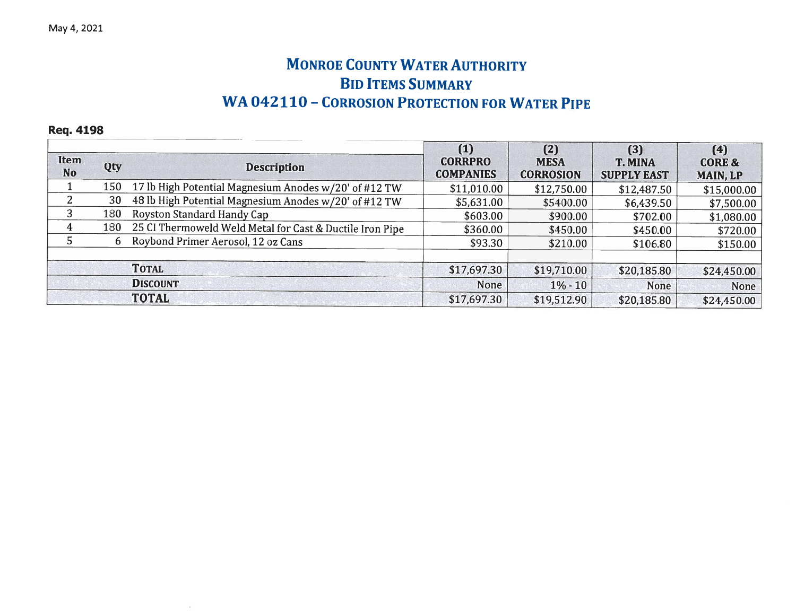## **MONROE COUNTY WATER AUTHORITY BID ITEMS SUMMARY WA 042110 - CORROSION PROTECTION FOR WATER PIPE**

**Req. 4198** 

 $\sim$ 

| <b>Item</b><br><b>No</b> | Qty | <b>Description</b>                                       | (1)<br><b>CORRPRO</b><br><b>COMPANIES</b> | (2)<br><b>MESA</b><br><b>CORROSION</b> | (3)<br><b>T. MINA</b><br><b>SUPPLY EAST</b> | (4)<br><b>CORE &amp;</b><br><b>MAIN, LP</b> |
|--------------------------|-----|----------------------------------------------------------|-------------------------------------------|----------------------------------------|---------------------------------------------|---------------------------------------------|
|                          | 150 | 17 lb High Potential Magnesium Anodes w/20' of #12 TW    | \$11,010.00                               | \$12,750.00                            | \$12,487.50                                 | \$15,000.00                                 |
|                          | 30  | 48 lb High Potential Magnesium Anodes w/20' of #12 TW    | \$5,631.00                                | \$5400.00                              | \$6,439.50                                  | \$7,500.00                                  |
| 3                        | 180 | Royston Standard Handy Cap                               | \$603.00                                  | \$900.00                               | \$702.00                                    | \$1,080.00                                  |
| 4                        | 180 | 25 CI Thermoweld Weld Metal for Cast & Ductile Iron Pipe | \$360.00                                  | \$450.00                               | \$450.00                                    | \$720.00                                    |
|                          | 6   | Roybond Primer Aerosol, 12 oz Cans                       | \$93.30                                   | \$210.00                               | \$106.80                                    | \$150.00                                    |
|                          |     | <b>TOTAL</b>                                             | \$17,697.30                               | \$19,710.00                            | \$20,185.80                                 | \$24,450.00                                 |
|                          |     | <b>DISCOUNT</b>                                          | None                                      | $1\% - 10$                             | None                                        | None                                        |
|                          |     | <b>TOTAL</b>                                             | \$17,697.30                               | \$19,512.90                            | \$20,185.80                                 | \$24,450.00                                 |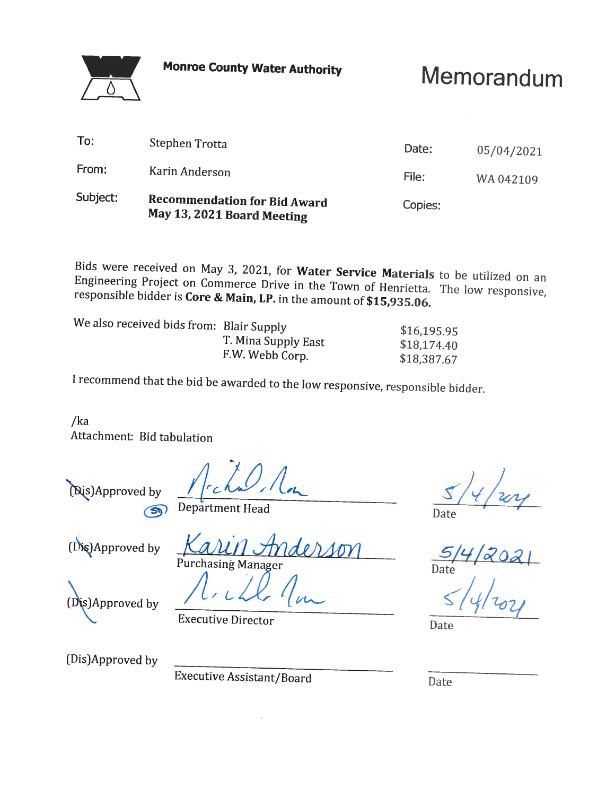

**Monroe County Water Authority** 

# Memorandum

| Subject: | <b>Recommendation for Bid Award</b><br>May 13, 2021 Board Meeting | Copies: |            |
|----------|-------------------------------------------------------------------|---------|------------|
| From:    | Karin Anderson                                                    | File:   | WA 042109  |
| To:      | Stephen Trotta                                                    | Date:   | 05/04/2021 |

Bids were received on May 3, 2021, for Water Service Materials to be utilized on an Engineering Project on Commerce Drive in the Town of Henrietta. The low responsive, responsible bidder is Core & Main, LP. in the amount of \$15,935.06.

| We also received bids from: Blair Supply |                     | \$16,195.95 |
|------------------------------------------|---------------------|-------------|
|                                          |                     |             |
|                                          | T. Mina Supply East | \$18,174.40 |
|                                          |                     |             |
|                                          | F.W. Webb Corp.     | \$18,387.67 |
|                                          |                     |             |

I recommend that the bid be awarded to the low responsive, responsible bidder.

 $/ka$ Attachment: Bid tabulation

(Dis)Approved by  $\odot$ 

Department Head

(Dis)Approved by

des Purchasing Manager

(Dis)Approved by

**Executive Director** 

Date

Date

(Dis)Approved by

Executive Assistant/Board

Date